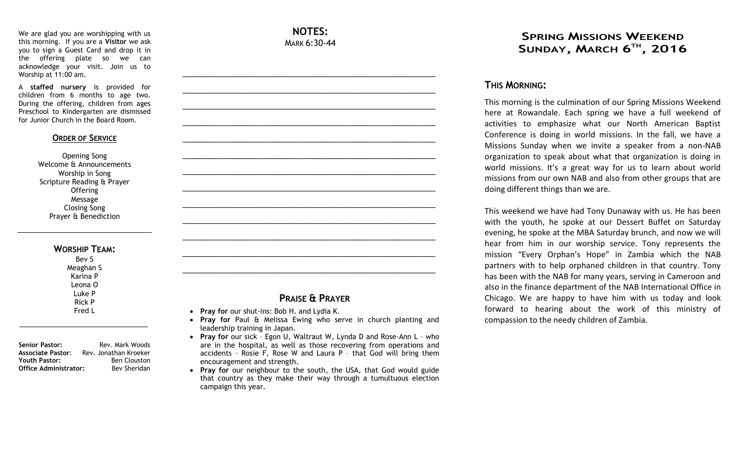We are glad you are worshipping with us this morning. If you are a **Visitor** we ask you to sign a Guest Card and drop it in the offering plate so we can acknowledge your visit. Join us to Worship at 11:00 am.

A **staffed nursery** is provided for children from 6 months to age two. During the offering, children from ages Preschool to Kindergarten are dismissed for Junior Church in the Board Room.

#### **ORDER OF SERVICE**

Opening Song Welcome & Announcements Worship in Song Scripture Reading & Prayer **Offering** Message Closing Song Prayer & Benediction

#### **WORSHIP TEAM:**

Bev S Meaghan S Karina P Leona O Luke P Rick P Fred L

**Senior Pastor:** Rev. Mark Woods **Associate Pastor**: Rev. Jonathan Kroeker **Youth Pastor:** Ben Clouston **Office Administrator:** Bev Sheridan

### **NOTES:** MARK 6:30-44

\_\_\_\_\_\_\_\_\_\_\_\_\_\_\_\_\_\_\_\_\_\_\_\_\_\_\_\_\_\_\_\_\_\_\_\_\_\_\_\_\_\_\_\_\_\_\_\_\_\_\_\_\_\_\_\_\_

\_\_\_\_\_\_\_\_\_\_\_\_\_\_\_\_\_\_\_\_\_\_\_\_\_\_\_\_\_\_\_\_\_\_\_\_\_\_\_\_\_\_\_\_\_\_\_\_\_\_\_\_\_\_\_\_\_

\_\_\_\_\_\_\_\_\_\_\_\_\_\_\_\_\_\_\_\_\_\_\_\_\_\_\_\_\_\_\_\_\_\_\_\_\_\_\_\_\_\_\_\_\_\_\_\_\_\_\_\_\_\_\_\_\_

\_\_\_\_\_\_\_\_\_\_\_\_\_\_\_\_\_\_\_\_\_\_\_\_\_\_\_\_\_\_\_\_\_\_\_\_\_\_\_\_\_\_\_\_\_\_\_\_\_\_\_\_\_\_\_\_\_

\_\_\_\_\_\_\_\_\_\_\_\_\_\_\_\_\_\_\_\_\_\_\_\_\_\_\_\_\_\_\_\_\_\_\_\_\_\_\_\_\_\_\_\_\_\_\_\_\_\_\_\_\_\_\_\_\_

\_\_\_\_\_\_\_\_\_\_\_\_\_\_\_\_\_\_\_\_\_\_\_\_\_\_\_\_\_\_\_\_\_\_\_\_\_\_\_\_\_\_\_\_\_\_\_\_\_\_\_\_\_\_\_\_\_

\_\_\_\_\_\_\_\_\_\_\_\_\_\_\_\_\_\_\_\_\_\_\_\_\_\_\_\_\_\_\_\_\_\_\_\_\_\_\_\_\_\_\_\_\_\_\_\_\_\_\_\_\_\_\_\_\_

\_\_\_\_\_\_\_\_\_\_\_\_\_\_\_\_\_\_\_\_\_\_\_\_\_\_\_\_\_\_\_\_\_\_\_\_\_\_\_\_\_\_\_\_\_\_\_\_\_\_\_\_\_\_\_\_\_

\_\_\_\_\_\_\_\_\_\_\_\_\_\_\_\_\_\_\_\_\_\_\_\_\_\_\_\_\_\_\_\_\_\_\_\_\_\_\_\_\_\_\_\_\_\_\_\_\_\_\_\_\_\_\_\_\_

\_\_\_\_\_\_\_\_\_\_\_\_\_\_\_\_\_\_\_\_\_\_\_\_\_\_\_\_\_\_\_\_\_\_\_\_\_\_\_\_\_\_\_\_\_\_\_\_\_\_\_\_\_\_\_\_\_

\_\_\_\_\_\_\_\_\_\_\_\_\_\_\_\_\_\_\_\_\_\_\_\_\_\_\_\_\_\_\_\_\_\_\_\_\_\_\_\_\_\_\_\_\_\_\_\_\_\_\_\_\_\_\_\_\_

\_\_\_\_\_\_\_\_\_\_\_\_\_\_\_\_\_\_\_\_\_\_\_\_\_\_\_\_\_\_\_\_\_\_\_\_\_\_\_\_\_\_\_\_\_\_\_\_\_\_\_\_\_\_\_\_\_

\_\_\_\_\_\_\_\_\_\_\_\_\_\_\_\_\_\_\_\_\_\_\_\_\_\_\_\_\_\_\_\_\_\_\_\_\_\_\_\_\_\_\_\_\_\_\_\_\_\_\_\_\_\_\_\_\_

## **PRAISE & PRAYER**

- **Pray for** our shut-ins: Bob H. and Lydia K.
- **Pray for** Paul & Melissa Ewing who serve in church planting and leadership training in Japan.
- **Pray for** our sick Egon U, Waltraut W, Lynda D and Rose-Ann L who are in the hospital, as well as those recovering from operations and accidents – Rosie F, Rose W and Laura P – that God will bring them encouragement and strength.
	- **Pray for** our neighbour to the south, the USA, that God would guide that country as they make their way through a tumultuous election campaign this year.

## **SPRING MISSIONS WEEKEND SUNDAY, MARCH 6 TH , 2016**

## **THIS MORNING:**

This morning is the culmination of our Spring Missions Weekend here at Rowandale. Each spring we have a full weekend of activities to emphasize what our North American Baptist Conference is doing in world missions. In the fall, we have a Missions Sunday when we invite a speaker from a non-NAB organization to speak about what that organization is doing in world missions. It's a great way for us to learn about world missions from our own NAB and also from other groups that are doing different things than we are.

This weekend we have had Tony Dunaway with us. He has been with the youth, he spoke at our Dessert Buffet on Saturday evening, he spoke at the MBA Saturday brunch, and now we will hear from him in our worship service. Tony represents the mission "Every Orphan's Hope" in Zambia which the NAB partners with to help orphaned children in that country. Tony has been with the NAB for many years, serving in Cameroon and also in the finance department of the NAB International Office in Chicago. We are happy to have him with us today and look forward to hearing about the work of this ministry of compassion to the needy children of Zambia.